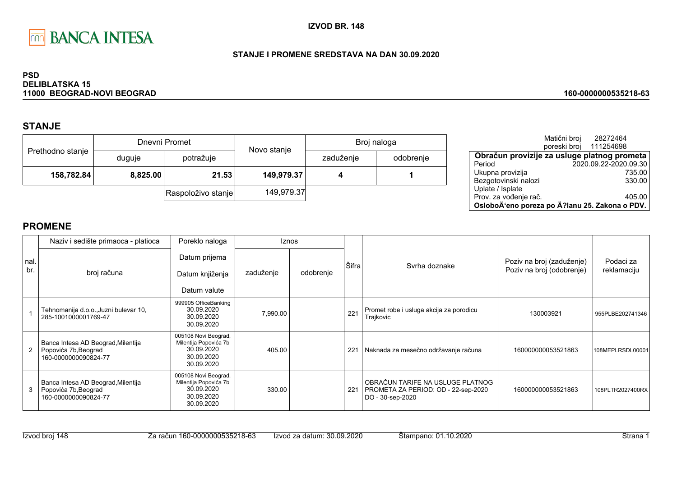

#### STANJE I PROMENE SREDSTAVA NA DAN 30.09.2020

#### **PSD DELIBLATSKA 15** 11000 BEOGRAD-NOVI BEOGRAD

# **STANJE**

|                  |          | Dnevni Promet      | Novo stanje | Broj naloga |           |  |
|------------------|----------|--------------------|-------------|-------------|-----------|--|
| Prethodno stanje | duguje   | potražuje          |             | zaduženje   | odobrenje |  |
| 158,782.84       | 8,825.00 | 21.53              | 149,979.37  |             |           |  |
|                  |          | Raspoloživo stanje | 149,979.37  |             |           |  |

|                                                | Matični broj<br>poreski broj | 28272464<br>111254698 |
|------------------------------------------------|------------------------------|-----------------------|
| Obračun provizije za usluge platnog prometa    |                              |                       |
| Period                                         |                              | 2020.09.22-2020.09.30 |
| Ukupna provizija                               |                              | 735.00                |
| Bezgotovinski nalozi                           |                              | 330.00                |
| Uplate / Isplate                               |                              |                       |
| Prov. za vođenje rač.                          |                              | 405.00                |
| OsloboÄ'eno poreza po Ä?lanu 25. Zakona o PDV. |                              |                       |

160-0000000535218-63

|             | Naziv i sedište primaoca - platioca                                                | Poreklo naloga                                                                          | Iznos     |           |       |                                                                                             |                                                        |                          |
|-------------|------------------------------------------------------------------------------------|-----------------------------------------------------------------------------------------|-----------|-----------|-------|---------------------------------------------------------------------------------------------|--------------------------------------------------------|--------------------------|
| nal.<br>br. | broj računa                                                                        | Datum prijema<br>Datum knjiženja<br>Datum valute                                        | zaduženje | odobrenje | Šifra | Syrha doznake                                                                               | Poziv na broj (zaduženje)<br>Poziv na broj (odobrenje) | Podaci za<br>reklamaciju |
|             | Tehnomanija d.o.o., Juzni bulevar 10,<br>285-1001000001769-47                      | 999905 OfficeBanking<br>30.09.2020<br>30.09.2020<br>30.09.2020                          | 7,990.00  |           | 221   | Promet robe i usluga akcija za porodicu<br>Trajkovic                                        | 130003921                                              | 955PLBE202741346         |
|             | Banca Intesa AD Beograd, Milentija<br>Popovića 7b, Beograd<br>160-0000000090824-77 | 005108 Novi Beograd,<br>Milentija Popovića 7b<br>30.09.2020<br>30.09.2020<br>30.09.2020 | 405.00    |           | 221   | Naknada za mesečno održavanje računa                                                        | 160000000053521863                                     | 108MEPLRSDL00001         |
| 3           | Banca Intesa AD Beograd, Milentija<br>Popovića 7b, Beograd<br>160-0000000090824-77 | 005108 Novi Beograd,<br>Milentija Popovića 7b<br>30.09.2020<br>30.09.2020<br>30.09.2020 | 330.00    |           | 221   | OBRAČUN TARIFE NA USLUGE PLATNOG<br>PROMETA ZA PERIOD: OD - 22-sep-2020<br>DO - 30-sep-2020 | 160000000053521863                                     | 108PLTR2027400RX         |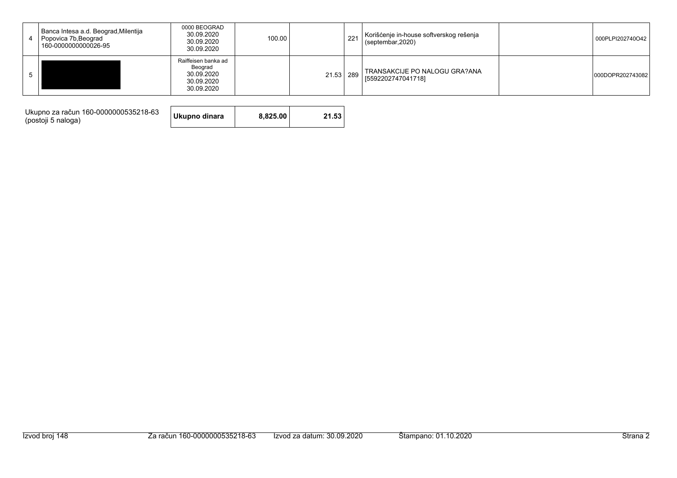| Banca Intesa a.d. Beograd, Milentija<br>4 Popovica 7b, Beograd<br>160-0000000000026-95 | 0000 BEOGRAD<br>30.09.2020<br>30.09.2020<br>30.09.2020                   | 100.00 |           | 221 | Korišćenje in-house softverskog rešenja<br>(septembar, 2020) | 000PLPI202740O42 |
|----------------------------------------------------------------------------------------|--------------------------------------------------------------------------|--------|-----------|-----|--------------------------------------------------------------|------------------|
|                                                                                        | Raiffeisen banka ad<br>Beograd<br>30.09.2020<br>30.09.2020<br>30.09.2020 |        | 21.53 289 |     | TRANSAKCIJE PO NALOGU GRA?ANA<br>155922027470417181          | 000DOPR202743082 |

Ukupno za račun 160-0000000535218-63<br>(postoji 5 naloga)

21.53 Ukupno dinara 8,825.00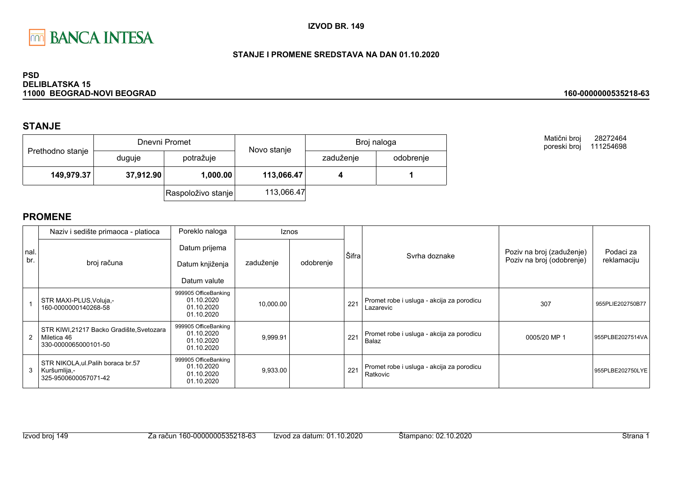

### STANJE I PROMENE SREDSTAVA NA DAN 01.10.2020

#### **PSD DELIBLATSKA 15** 11000 BEOGRAD-NOVI BEOGRAD

### **STANJE**

|                  |           | Dnevni Promet      | Novo stanje | Broj naloga |           |  |
|------------------|-----------|--------------------|-------------|-------------|-----------|--|
| Prethodno stanje | duguje    | potražuje          |             | zaduženje   | odobrenje |  |
| 149,979.37       | 37,912.90 | 1,000.00           | 113,066.47  |             |           |  |
|                  |           | Raspoloživo stanje | 113,066.47  |             |           |  |

Matični broj 28272464 poreski broj 111254698

160-0000000535218-63

|             | Naziv i sedište primaoca - platioca                                             | Poreklo naloga                                                 |           | <b>Iznos</b> |       |                                                        |                                                        |                          |
|-------------|---------------------------------------------------------------------------------|----------------------------------------------------------------|-----------|--------------|-------|--------------------------------------------------------|--------------------------------------------------------|--------------------------|
| nal.<br>br. | broj računa                                                                     | Datum prijema<br>Datum knjiženja<br>Datum valute               | zaduženje | odobrenje    | Šifra | Syrha doznake                                          | Poziv na broj (zaduženje)<br>Poziv na broj (odobrenje) | Podaci za<br>reklamaciju |
|             | STR MAXI-PLUS, Voluja,-<br>160-0000000140268-58                                 | 999905 OfficeBanking<br>01.10.2020<br>01.10.2020<br>01.10.2020 | 10,000.00 |              | 221   | Promet robe i usluga - akcija za porodicu<br>Lazarevic | 307                                                    | 955PLIE202750B77         |
|             | STR KIWI,21217 Backo Gradište, Svetozara<br>Miletica 46<br>330-0000065000101-50 | 999905 OfficeBanking<br>01.10.2020<br>01.10.2020<br>01.10.2020 | 9,999.91  |              | 221   | Promet robe i usluga - akcija za porodicu<br>Balaz     | 0005/20 MP 1                                           | 955PLBE2027514VA         |
| 3           | STR NIKOLA, ul. Palih boraca br.57<br>Kuršumlija,-<br>325-9500600057071-42      | 999905 OfficeBanking<br>01.10.2020<br>01.10.2020<br>01.10.2020 | 9,933.00  |              | 221   | Promet robe i usluga - akcija za porodicu<br>Ratkovic  |                                                        | 955PLBE202750LYE         |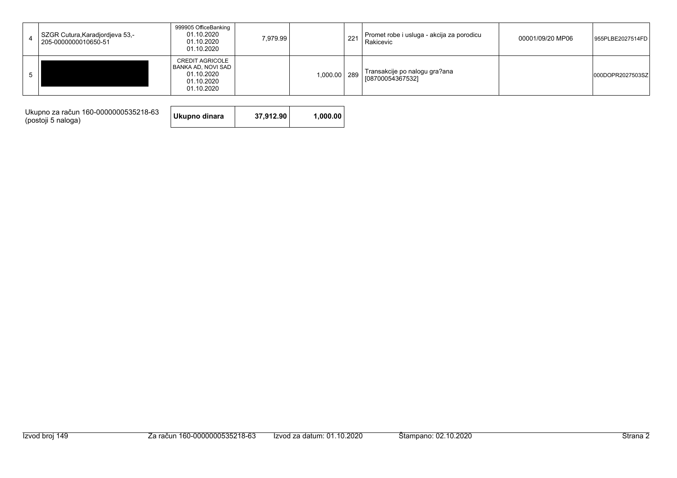|  | SZGR Cutura, Karadjordjeva 53,-<br>205-0000000010650-51 | 999905 OfficeBanking<br>01.10.2020<br>01.10.2020<br>01.10.2020                         | 7.979.99 |              | 221 | Promet robe i usluga - akcija za porodicu<br>Rakicevic | 00001/09/20 MP06 | 955PLBE2027514FD |
|--|---------------------------------------------------------|----------------------------------------------------------------------------------------|----------|--------------|-----|--------------------------------------------------------|------------------|------------------|
|  |                                                         | <b>CREDIT AGRICOLE</b><br>BANKA AD, NOVI SAD<br>01.10.2020<br>01.10.2020<br>01.10.2020 |          | 1,000.00 289 |     | Transakcije po nalogu gra?ana<br>[08700054367532]      |                  | 000DOPR2027503SZ |

Ukupno za račun 160-0000000535218-63<br>(postoji 5 naloga)

Ukupno dinara 37,912.90 1,000.00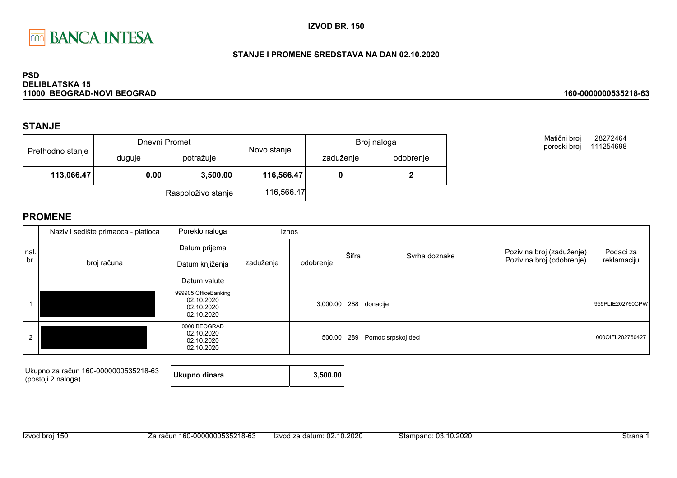

### STANJE I PROMENE SREDSTAVA NA DAN 02.10.2020

#### **PSD DELIBLATSKA 15** 11000 BEOGRAD-NOVI BEOGRAD

## **STANJE**

|                  |                  | Dnevni Promet      | Novo stanje | Broj naloga |           |  |
|------------------|------------------|--------------------|-------------|-------------|-----------|--|
| Prethodno stanje | duguje           | potražuje          |             | zaduženje   | odobrenje |  |
| 113,066.47       | 0.00<br>3,500.00 |                    | 116,566.47  |             |           |  |
|                  |                  | Raspoloživo stanje | 116,566.47  |             |           |  |

Matični broj 28272464 poreski broj 111254698

160-0000000535218-63

|      | Naziv i sedište primaoca - platioca | Poreklo naloga                                                 |           | Iznos     |       |                        |                           |                  |
|------|-------------------------------------|----------------------------------------------------------------|-----------|-----------|-------|------------------------|---------------------------|------------------|
| nal. |                                     | Datum prijema                                                  |           |           | Šifra | Svrha doznake          | Poziv na broj (zaduženje) | Podaci za        |
| br.  | broj računa                         | Datum knjiženja                                                | zaduženje | odobrenje |       |                        | Poziv na broj (odobrenje) | reklamaciju      |
|      |                                     | Datum valute                                                   |           |           |       |                        |                           |                  |
|      |                                     | 999905 OfficeBanking<br>02.10.2020<br>02.10.2020<br>02.10.2020 |           | 3,000.00  |       | 288 donacije           |                           | 955PLIE202760CPW |
| 2    |                                     | 0000 BEOGRAD<br>02.10.2020<br>02.10.2020<br>02.10.2020         |           | 500.00    |       | 289 Pomoc srpskoj deci |                           | 000OIFL202760427 |

| Ukupno za račun 160-0000000535218-63<br>(postoji 2 naloga) | Ukupno dinara |  | 3,500,00 |
|------------------------------------------------------------|---------------|--|----------|
|------------------------------------------------------------|---------------|--|----------|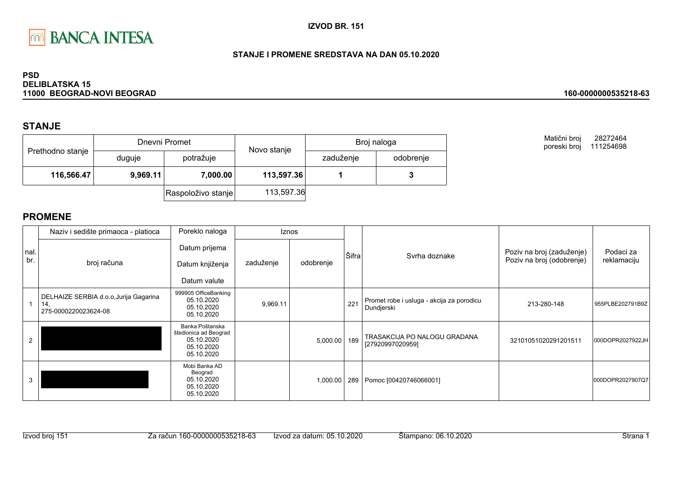

### STANJE I PROMENE SREDSTAVA NA DAN 05.10.2020

#### **PSD DELIBLATSKA 15** 11000 BEOGRAD-NOVI BEOGRAD

## **STANJE**

|                  |          | Dnevni Promet      | Novo stanje | Broj naloga |           |  |
|------------------|----------|--------------------|-------------|-------------|-----------|--|
| Prethodno stanje | duguje   | potražuje          |             | zaduženje   | odobrenje |  |
| 116,566.47       | 9,969.11 | 7,000.00           | 113,597.36  |             |           |  |
|                  |          | Raspoloživo stanje | 113,597.36  |             |           |  |

Matični broj 28272464 poreski broj 111254698

160-0000000535218-63

|             | Naziv i sedište primaoca - platioca                                   | Poreklo naloga                                                                     |           | <b>Iznos</b> |       |                                                         |                                                        |                          |
|-------------|-----------------------------------------------------------------------|------------------------------------------------------------------------------------|-----------|--------------|-------|---------------------------------------------------------|--------------------------------------------------------|--------------------------|
| nal.<br>br. | broj računa                                                           | Datum prijema<br>Datum knjiženja<br>Datum valute                                   | zaduženje | odobrenje    | Šifra | Syrha doznake                                           | Poziv na broj (zaduženje)<br>Poziv na broj (odobrenje) | Podaci za<br>reklamaciju |
|             | DELHAIZE SERBIA d.o.o, Jurija Gagarina<br>14.<br>275-0000220023624-08 | 999905 OfficeBanking<br>05.10.2020<br>05.10.2020<br>05.10.2020                     | 9,969.11  |              | 221   | Promet robe i usluga - akcija za porodicu<br>Dundjerski | 213-280-148                                            | 955PLBE202791B9Z         |
| 2           |                                                                       | Banka Poštanska<br>štedionica ad Beograd<br>05.10.2020<br>05.10.2020<br>05.10.2020 |           | 5,000.00     | 189   | TRASAKCIJA PO NALOGU GRADANA<br>[27920997020959]        | 32101051020291201511                                   | 000DOPR2027922JH         |
| 3           |                                                                       | Mobi Banka AD<br>Beograd<br>05.10.2020<br>05.10.2020<br>05.10.2020                 |           | 1,000.00     | 289   | Pomoc [00420746066001]                                  |                                                        | 000DOPR2027907Q7         |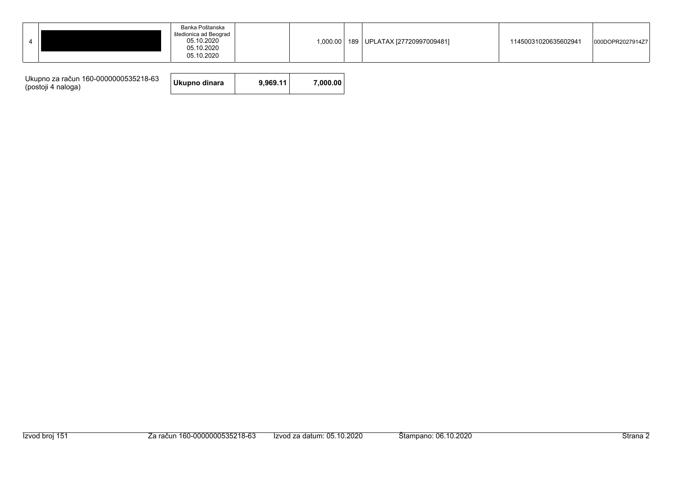| Ukupno za račun 160-0000000535218-63<br>(postoji 4 naloga) | Ukupno dinara | 9.969.11 | 7.000.00 |
|------------------------------------------------------------|---------------|----------|----------|
|------------------------------------------------------------|---------------|----------|----------|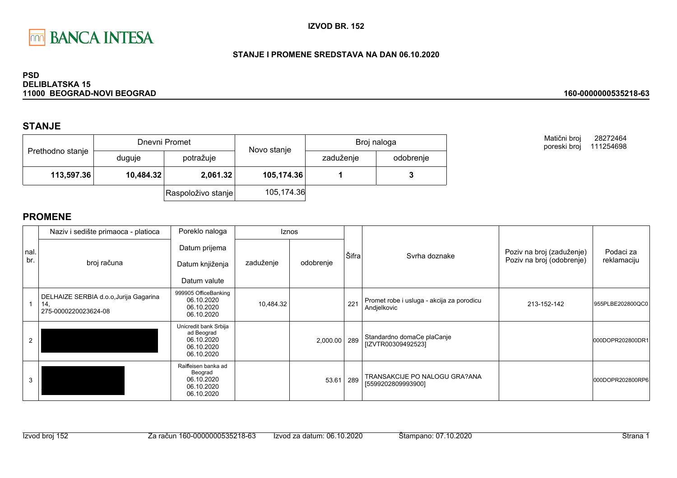

### STANJE I PROMENE SREDSTAVA NA DAN 06.10.2020

#### **PSD DELIBLATSKA 15** 11000 BEOGRAD-NOVI BEOGRAD

## **STANJE**

| Prethodno stanje |           | Dnevni Promet      | Novo stanje | Broj naloga |           |  |
|------------------|-----------|--------------------|-------------|-------------|-----------|--|
|                  | duguje    | potražuje          |             | zaduženje   | odobrenje |  |
| 113,597.36       | 10,484.32 | 2,061.32           | 105,174.36  |             |           |  |
|                  |           | Raspoloživo stanje | 105,174.36  |             |           |  |

**PROMENE** 

|            | Naziv i sedište primaoca - platioca                                   | Poreklo naloga                                                                |           | <b>Iznos</b> |       |                                                          |                                                        |                          |
|------------|-----------------------------------------------------------------------|-------------------------------------------------------------------------------|-----------|--------------|-------|----------------------------------------------------------|--------------------------------------------------------|--------------------------|
| nal<br>br. | broj računa                                                           | Datum prijema<br>Datum knjiženja<br>Datum valute                              | zaduženje | odobrenje    | Šifra | Syrha doznake                                            | Poziv na broj (zaduženje)<br>Poziv na broj (odobrenje) | Podaci za<br>reklamaciju |
|            | DELHAIZE SERBIA d.o.o, Jurija Gagarina<br>14,<br>275-0000220023624-08 | 999905 OfficeBanking<br>06.10.2020<br>06.10.2020<br>06.10.2020                | 10,484.32 |              | 221   | Promet robe i usluga - akcija za porodicu<br>Andjelkovic | 213-152-142                                            | 955PLBE202800QC0         |
| 2          |                                                                       | Unicredit bank Srbija<br>ad Beograd<br>06.10.2020<br>06.10.2020<br>06.10.2020 |           | 2,000.00     | 289   | Standardno domaCe plaCanje<br>[IZVTR00309492523]         |                                                        | 000DOPR202800DR1         |
| 3          |                                                                       | Raiffeisen banka ad<br>Beograd<br>06.10.2020<br>06.10.2020<br>06.10.2020      |           | 53.61        | 289   | TRANSAKCIJE PO NALOGU GRA?ANA<br>[5599202809993900]      |                                                        | 000DOPR202800RP6         |

#### 160-0000000535218-63

28272464

Matični broj

poreski broj 111254698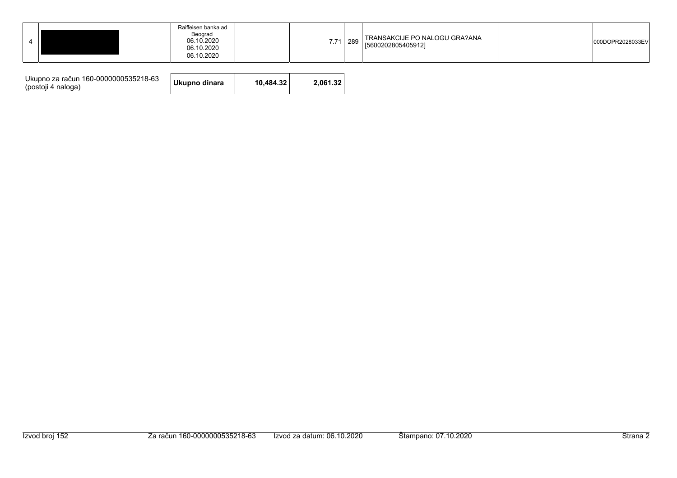| Raiffeisen banka ad<br>Beograd<br>06.10.2020<br>06.10.2020<br>06.10.2020 | TRANSAKCIJE PO NALOGU GRA?ANA<br>7.71<br>289<br>[5600202805405912] | 000DOPR2028033EV |
|--------------------------------------------------------------------------|--------------------------------------------------------------------|------------------|
|--------------------------------------------------------------------------|--------------------------------------------------------------------|------------------|

| Ukupno za račun 160-0000000535218-63<br>(postoji 4 naloga) | Ukupno dinara | 10.484.32 | 2.061.32 |
|------------------------------------------------------------|---------------|-----------|----------|
|------------------------------------------------------------|---------------|-----------|----------|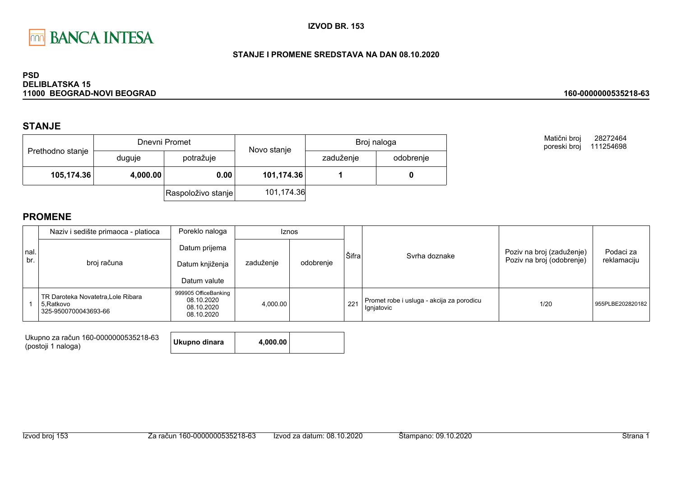

### STANJE I PROMENE SREDSTAVA NA DAN 08.10.2020

#### **PSD DELIBLATSKA 15** 11000 BEOGRAD-NOVI BEOGRAD

### **STANJE**

|                  |          | Dnevni Promet      | Novo stanje | Broj naloga |           |  |
|------------------|----------|--------------------|-------------|-------------|-----------|--|
| Prethodno stanje | duguje   | potražuje          |             | zaduženje   | odobrenje |  |
| 105,174.36       | 4,000.00 | 0.00               | 101,174.36  |             |           |  |
|                  |          | Raspoloživo stanje | 101,174.36  |             |           |  |

**PROMENE** 

|             | Naziv i sedište primaoca - platioca                                     | Poreklo naloga                                                 |           | <b>Iznos</b> |       |                                                         |                                                        |                          |
|-------------|-------------------------------------------------------------------------|----------------------------------------------------------------|-----------|--------------|-------|---------------------------------------------------------|--------------------------------------------------------|--------------------------|
| nal.<br>br. | broj računa                                                             | Datum prijema<br>Datum knjiženja<br>Datum valute               | zaduženje | odobrenje    | Šifra | Syrha doznake                                           | Poziv na broj (zaduženje)<br>Poziv na broj (odobrenje) | Podaci za<br>reklamaciju |
|             | TR Daroteka Novatetra, Lole Ribara<br>5.Ratkovo<br>325-9500700043693-66 | 999905 OfficeBanking<br>08.10.2020<br>08.10.2020<br>08.10.2020 | 4,000.00  |              | 221   | Promet robe i usluga - akcija za porodicu<br>Ignjatovic | 1/20                                                   | 955PLBE202820182         |

| Ukupno za račun 160-0000000535218-63 | Ukupno dinara | 4.000.00 |  |
|--------------------------------------|---------------|----------|--|
| (postoji 1 naloga)                   |               |          |  |

#### 160-0000000535218-63

Matični broj 28272464 poreski broj 111254698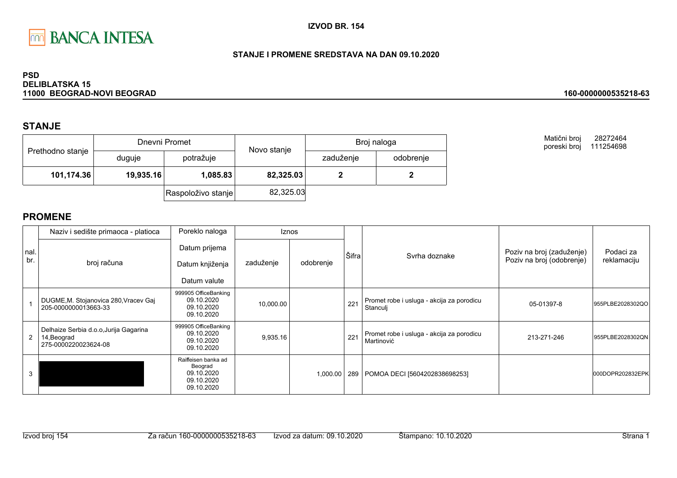

### STANJE I PROMENE SREDSTAVA NA DAN 09.10.2020

#### **PSD DELIBLATSKA 15** 11000 BEOGRAD-NOVI BEOGRAD

## **STANJE**

|                  |           | Dnevni Promet      | Novo stanje | Broj naloga |           |  |
|------------------|-----------|--------------------|-------------|-------------|-----------|--|
| Prethodno stanje | duguje    | potražuje          |             | zaduženje   | odobrenje |  |
| 101,174.36       | 19,935.16 | 1,085.83           | 82,325.03   |             |           |  |
|                  |           | Raspoloživo stanje | 82,325.03   |             |           |  |

Matični broj 28272464 poreski broj 111254698

160-0000000535218-63

|              | Naziv i sedište primaoca - platioca                                           | Poreklo naloga                                                           |           | <b>Iznos</b> |       |                                                         |                                                        |                          |
|--------------|-------------------------------------------------------------------------------|--------------------------------------------------------------------------|-----------|--------------|-------|---------------------------------------------------------|--------------------------------------------------------|--------------------------|
| nal.<br>br.  | broj računa                                                                   | Datum prijema<br>Datum knjiženja<br>Datum valute                         | zaduženje | odobrenje    | Šifra | Syrha doznake                                           | Poziv na broj (zaduženje)<br>Poziv na broj (odobrenje) | Podaci za<br>reklamaciju |
|              | DUGME, M. Stojanovica 280, Vracev Gaj<br>205-0000000013663-33                 | 999905 OfficeBanking<br>09.10.2020<br>09.10.2020<br>09.10.2020           | 10,000.00 |              | 221   | Promet robe i usluga - akcija za porodicu<br>Stanculj   | 05-01397-8                                             | 955PLBE2028302QO         |
| $\mathbf{2}$ | Delhaize Serbia d.o.o, Jurija Gagarina<br>14, Beograd<br>275-0000220023624-08 | 999905 OfficeBanking<br>09.10.2020<br>09.10.2020<br>09.10.2020           | 9,935.16  |              | 221   | Promet robe i usluga - akcija za porodicu<br>Martinović | 213-271-246                                            | 955PLBE2028302QN         |
| 3            |                                                                               | Raiffeisen banka ad<br>Beograd<br>09.10.2020<br>09.10.2020<br>09.10.2020 |           | 1,000.00     |       | 289   POMOA DECI [5604202838698253]                     |                                                        | 000DOPR202832EPK         |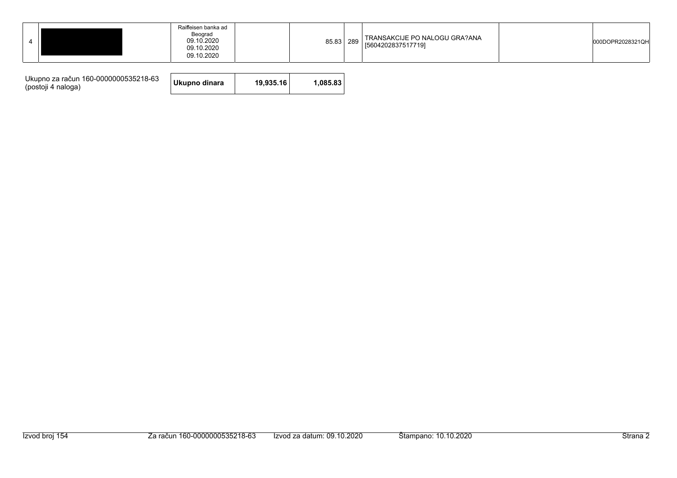|  |  | Raiffeisen banka ad<br>Beograd<br>09.10.2020<br>09.10.2020<br>09.10.2020 |  | 85.83 289 |  | TRANSAKCIJE PO NALOGU GRA?ANA<br>[5604202837517719] |  | 000DOPR2028321QH |
|--|--|--------------------------------------------------------------------------|--|-----------|--|-----------------------------------------------------|--|------------------|
|--|--|--------------------------------------------------------------------------|--|-----------|--|-----------------------------------------------------|--|------------------|

| Ukupno za račun 160-0000000535218-63<br>(postoji 4 naloga) | Ukupno dinara | 19.935.16 | 1.085.83 |
|------------------------------------------------------------|---------------|-----------|----------|
|------------------------------------------------------------|---------------|-----------|----------|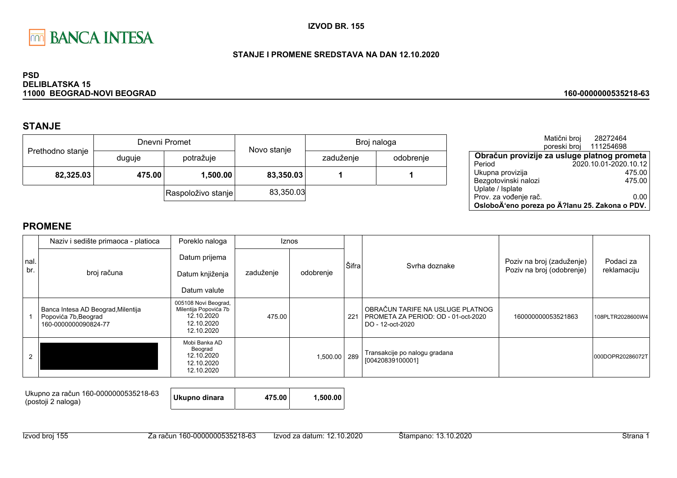

### STANJE I PROMENE SREDSTAVA NA DAN 12.10.2020

#### **PSD DELIBLATSKA 15** 11000 BEOGRAD-NOVI BEOGRAD

# **STANJE**

|                  |        | Dnevni Promet      | Novo stanje | Broj naloga |           |  |
|------------------|--------|--------------------|-------------|-------------|-----------|--|
| Prethodno stanje | duguje | potražuje          |             | zaduženje   | odobrenje |  |
| 82,325.03        | 475.00 | 1,500.00           | 83,350.03   |             |           |  |
|                  |        | Raspoloživo stanje | 83,350.03   |             |           |  |

|                                                | Matični broj | 28272464              |
|------------------------------------------------|--------------|-----------------------|
|                                                | poreski broj | 111254698             |
| Obračun provizije za usluge platnog prometa    |              |                       |
| Period                                         |              | 2020.10.01-2020.10.12 |
| Ukupna provizija                               |              | 475.00                |
| Bezgotovinski nalozi                           |              | 475.00                |
| Uplate / Isplate                               |              |                       |
| Prov. za vođenje rač.                          |              | 0.00                  |
| OsloboÄ'eno poreza po Ä?lanu 25. Zakona o PDV. |              |                       |

160-0000000535218-63

|             | Naziv i sedište primaoca - platioca                                                | Poreklo naloga                                                                          |           | Iznos        |       |                                                                                             |                                                        |                          |
|-------------|------------------------------------------------------------------------------------|-----------------------------------------------------------------------------------------|-----------|--------------|-------|---------------------------------------------------------------------------------------------|--------------------------------------------------------|--------------------------|
| nal.<br>br. | broj računa                                                                        | Datum prijema<br>Datum knjiženja<br>Datum valute                                        | zaduženje | odobrenje    | Šifra | Syrha doznake                                                                               | Poziv na broj (zaduženje)<br>Poziv na broj (odobrenje) | Podaci za<br>reklamaciju |
|             | Banca Intesa AD Beograd, Milentija<br>Popovića 7b, Beograd<br>160-0000000090824-77 | 005108 Novi Beograd,<br>Milentija Popovića 7b<br>12.10.2020<br>12.10.2020<br>12.10.2020 | 475.00    |              | 221   | OBRAČUN TARIFE NA USLUGE PLATNOG<br>PROMETA ZA PERIOD: OD - 01-oct-2020<br>DO - 12-oct-2020 | 160000000053521863                                     | 108PLTR2028600W4         |
|             |                                                                                    | Mobi Banka AD<br>Beograd<br>12.10.2020<br>12.10.2020<br>12.10.2020                      |           | 1,500.00 289 |       | Transakcije po nalogu gradana<br>[00420839100001]                                           |                                                        | 000DOPR20286072T         |

| Ukupno za račun 160-0000000535218-63<br>(postoji 2 naloga) | Ukupno dinara | 475.00 | 1.500.00 |
|------------------------------------------------------------|---------------|--------|----------|
|------------------------------------------------------------|---------------|--------|----------|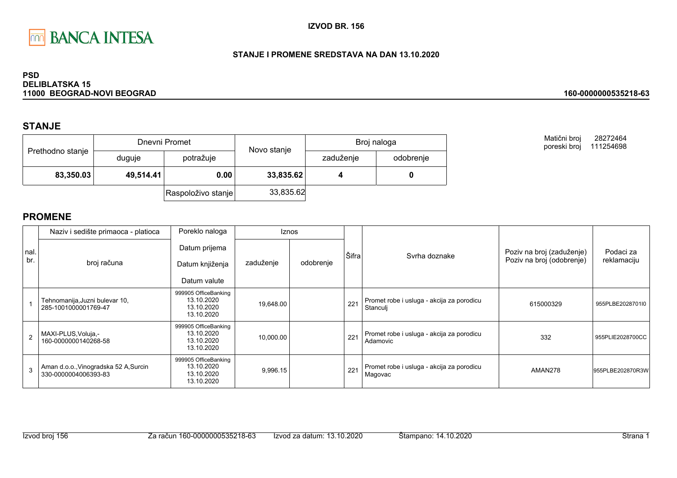

### STANJE I PROMENE SREDSTAVA NA DAN 13.10.2020

#### **PSD DELIBLATSKA 15** 11000 BEOGRAD-NOVI BEOGRAD

### **STANJE**

|                  |           | Dnevni Promet      | Novo stanje | Broj naloga |           |  |
|------------------|-----------|--------------------|-------------|-------------|-----------|--|
| Prethodno stanje | duguje    | potražuje          |             | zaduženje   | odobrenje |  |
| 83,350.03        | 49,514.41 | 0.00               | 33,835.62   |             |           |  |
|                  |           | Raspoloživo stanje | 33,835.62   |             |           |  |

Matični broj 28272464 poreski broj 111254698

160-0000000535218-63

|            | Naziv i sedište primaoca - platioca                           | Poreklo naloga                                                 | <b>Iznos</b> |           |       |                                                       |                                                        |                          |
|------------|---------------------------------------------------------------|----------------------------------------------------------------|--------------|-----------|-------|-------------------------------------------------------|--------------------------------------------------------|--------------------------|
| nal<br>br. | broj računa                                                   | Datum prijema<br>Datum knjiženja<br>Datum valute               | zaduženje    | odobrenje | Šifra | Syrha doznake                                         | Poziv na broj (zaduženje)<br>Poziv na broj (odobrenje) | Podaci za<br>reklamaciju |
|            |                                                               | 999905 OfficeBanking                                           |              |           |       |                                                       |                                                        |                          |
|            | Tehnomanija, Juzni bulevar 10,<br>285-1001000001769-47        | 13.10.2020<br>13.10.2020<br>13.10.2020                         | 19,648.00    |           | 221   | Promet robe i usluga - akcija za porodicu<br>Stanculj | 615000329                                              | 955PLBE2028701I0         |
|            | MAXI-PLUS, Voluja,-<br>160-0000000140268-58                   | 999905 OfficeBanking<br>13.10.2020<br>13.10.2020<br>13.10.2020 | 10,000.00    |           | 221   | Promet robe i usluga - akcija za porodicu<br>Adamovic | 332                                                    | 955PLIE2028700CC         |
| 3          | Aman d.o.o., Vinogradska 52 A, Surcin<br>330-0000004006393-83 | 999905 OfficeBanking<br>13.10.2020<br>13.10.2020<br>13.10.2020 | 9,996.15     |           | 221   | Promet robe i usluga - akcija za porodicu<br>Magovac  | AMAN278                                                | 955PLBE202870R3W         |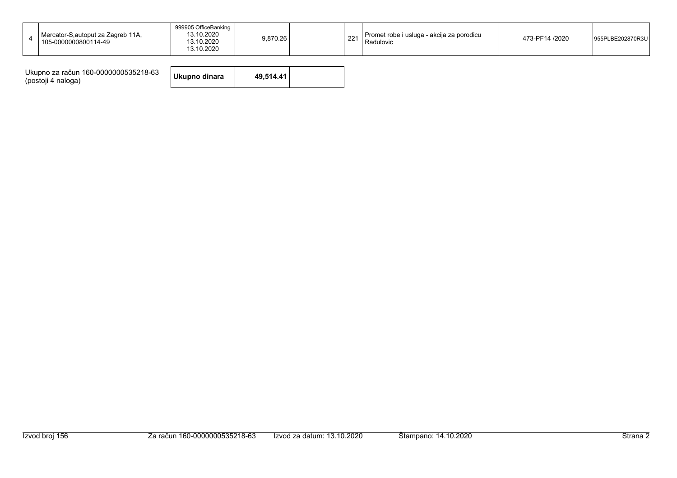| Mercator-S, autoput za Zagreb 11A,<br>105-0000000800114-49 | 999905 OfficeBanking<br>13.10.2020<br>13.10.2020<br>13.10.2020 | 9,870.26 | nn,<br>$\angle$ | I Promet robe i usluga - akcija za porodicu<br>Radulovic | 473-PF14 /2020 | PLBE202870R3U<br>955PL |
|------------------------------------------------------------|----------------------------------------------------------------|----------|-----------------|----------------------------------------------------------|----------------|------------------------|
|                                                            |                                                                |          |                 |                                                          |                |                        |

| Ukupno za račun 160-0000000535218-63<br>(postoji 4 naloga) | Ukupno dinara | 49.514.41 |  |
|------------------------------------------------------------|---------------|-----------|--|
|------------------------------------------------------------|---------------|-----------|--|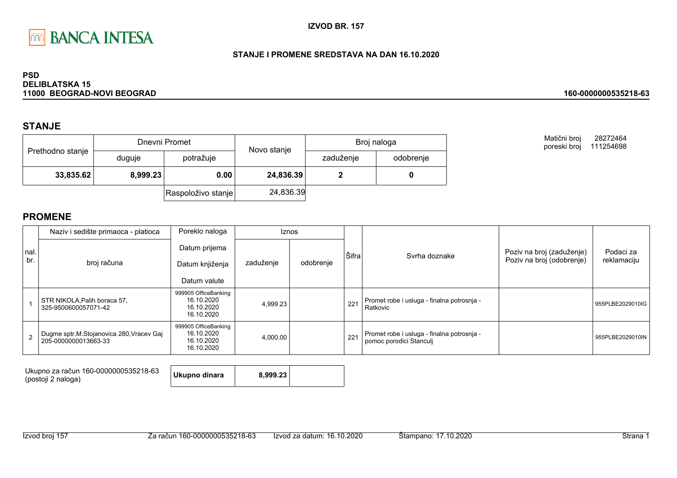

### STANJE I PROMENE SREDSTAVA NA DAN 16.10.2020

#### **PSD DELIBLATSKA 15** 11000 BEOGRAD-NOVI BEOGRAD

### **STANJE**

|                  |          | Dnevni Promet      | Novo stanje | Broj naloga |           |  |
|------------------|----------|--------------------|-------------|-------------|-----------|--|
| Prethodno stanje | duguje   | potražuje          |             | zaduženje   | odobrenje |  |
| 33,835.62        | 8,999.23 | 0.00               | 24,836.39   |             |           |  |
|                  |          | Raspoloživo stanje | 24,836.39   |             |           |  |

Matični broj 28272464 poreski broj 111254698

160-0000000535218-63

|      | Naziv i sedište primaoca - platioca                                | Poreklo naloga                                                 | <b>Iznos</b> |           |       |                                                                       |                           |                  |  |                           |
|------|--------------------------------------------------------------------|----------------------------------------------------------------|--------------|-----------|-------|-----------------------------------------------------------------------|---------------------------|------------------|--|---------------------------|
| nal. |                                                                    | Datum prijema                                                  |              | odobrenje | Šifra | Syrha doznake                                                         | Poziv na broj (zaduženje) | Podaci za        |  |                           |
| br.  | broj računa                                                        | Datum knjiženja                                                | zaduženje    |           |       |                                                                       |                           |                  |  | Poziv na broj (odobrenje) |
|      |                                                                    | Datum valute                                                   |              |           |       |                                                                       |                           |                  |  |                           |
|      | STR NIKOLA, Palih boraca 57,<br>325-9500600057071-42               | 999905 OfficeBanking<br>16.10.2020<br>16.10.2020<br>16.10.2020 | 4,999.23     |           | 221   | Promet robe i usluga - finalna potrosnja -<br>Ratkovic                |                           | 955PLBE2029010IG |  |                           |
|      | Dugme sptr, M. Stojanovica 280, Vracev Gaj<br>205-0000000013663-33 | 999905 OfficeBanking<br>16.10.2020<br>16.10.2020<br>16.10.2020 | 4,000.00     |           | 221   | Promet robe i usluga - finalna potrosnja -<br>pomoc porodici Stanculj |                           | 955PLBE2029010IN |  |                           |

| Ukupno za račun 160-0000000535218-63<br>(postoji 2 naloga) | Ukupno dinara | 8.999.23 |  |
|------------------------------------------------------------|---------------|----------|--|
|------------------------------------------------------------|---------------|----------|--|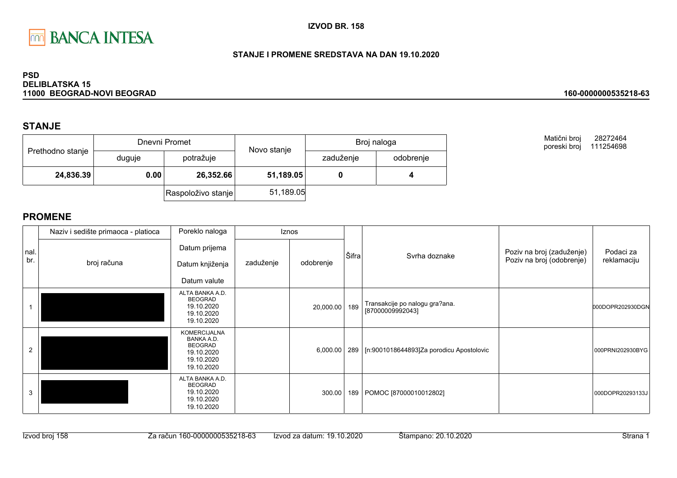

### STANJE I PROMENE SREDSTAVA NA DAN 19.10.2020

#### **PSD DELIBLATSKA 15** 11000 BEOGRAD-NOVI BEOGRAD

## **STANJE**

|                  |        | Dnevni Promet      |                        | Broj naloga |           |  |
|------------------|--------|--------------------|------------------------|-------------|-----------|--|
| Prethodno stanje | duguje | potražuje          | Novo stanje            | zaduženje   | odobrenje |  |
| 24,836.39        | 0.00   |                    | 26,352.66<br>51,189.05 |             |           |  |
|                  |        | Raspoloživo stanje | 51,189.05              |             |           |  |

Matični broj 28272464 poreski broj 111254698

160-0000000535218-63

|             | Naziv i sedište primaoca - platioca | Poreklo naloga                                                                                       |           | Iznos     |       |                                                    |                                                        |                          |
|-------------|-------------------------------------|------------------------------------------------------------------------------------------------------|-----------|-----------|-------|----------------------------------------------------|--------------------------------------------------------|--------------------------|
| nal.<br>br. | broj računa                         | Datum prijema<br>Datum knjiženja                                                                     | zaduženje | odobrenje | Šifra | Svrha doznake                                      | Poziv na broj (zaduženje)<br>Poziv na broj (odobrenje) | Podaci za<br>reklamaciju |
|             |                                     | Datum valute                                                                                         |           |           |       |                                                    |                                                        |                          |
|             |                                     | ALTA BANKA A.D.<br><b>BEOGRAD</b><br>19.10.2020<br>19.10.2020<br>19.10.2020                          |           | 20,000.00 | 189   | Transakcije po nalogu gra?ana.<br>[87000009992043] |                                                        | 000DOPR202930DGN         |
| 2           |                                     | <b>KOMERCIJALNA</b><br><b>BANKA A.D.</b><br><b>BEOGRAD</b><br>19.10.2020<br>19.10.2020<br>19.10.2020 |           | 6,000.00  |       | 289   [n:9001018644893]Za porodicu Apostolovic     |                                                        | 000PRNI202930BYG         |
| 3           |                                     | ALTA BANKA A.D.<br><b>BEOGRAD</b><br>19.10.2020<br>19.10.2020<br>19.10.2020                          |           | 300.00    | 189   | POMOC [87000010012802]                             |                                                        | 000DOPR20293133J         |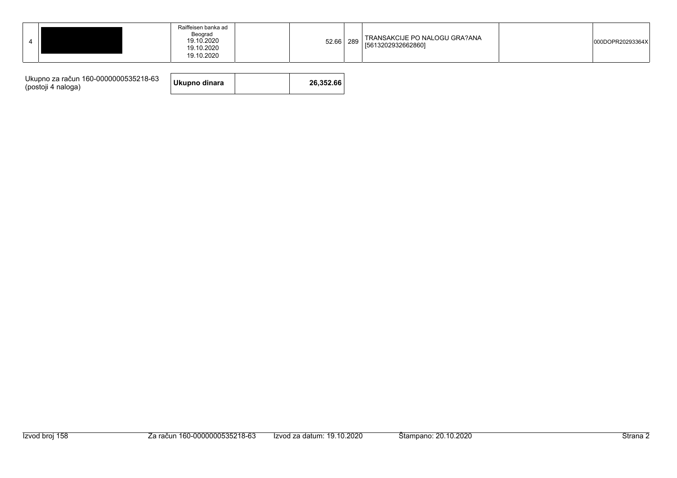| Raiffeisen banka ad<br>Beograd<br>19.10.2020<br>19.10.2020<br>19.10.2020 | I TRANSAKCIJE PO NALOGU GRA?ANA<br>289<br>52.66<br>[5613202932662860] | 000DOPR20293364X |
|--------------------------------------------------------------------------|-----------------------------------------------------------------------|------------------|
|--------------------------------------------------------------------------|-----------------------------------------------------------------------|------------------|

| Ukupno za račun 160-0000000535218-63<br>(postoji 4 naloga) | Ukupno dinara |  | 26.352.66 |
|------------------------------------------------------------|---------------|--|-----------|
|------------------------------------------------------------|---------------|--|-----------|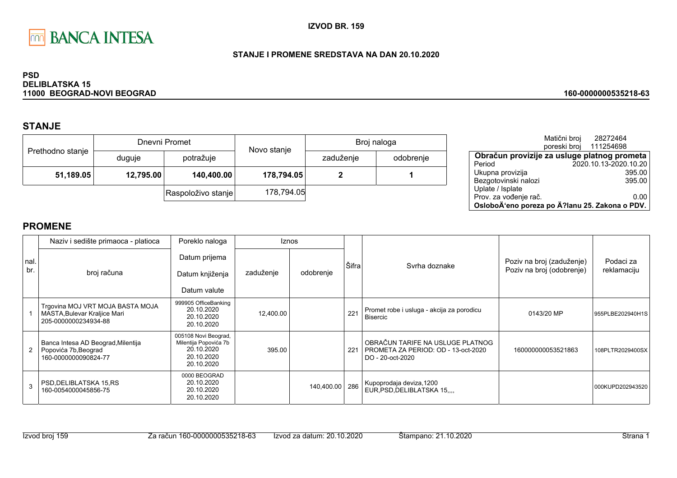

#### STANJE I PROMENE SREDSTAVA NA DAN 20.10.2020

#### **PSD DELIBLATSKA 15** 11000 BEOGRAD-NOVI BEOGRAD

# **STANJE**

|                  |                                      | Dnevni Promet      | Novo stanje |           | Broj naloga |
|------------------|--------------------------------------|--------------------|-------------|-----------|-------------|
| Prethodno stanje | duguje                               | potražuje          |             | zaduženje | odobrenje   |
|                  | 51,189.05<br>12,795.00<br>140,400.00 |                    | 178,794.05  |           |             |
|                  |                                      | Raspoloživo stanje | 178,794.05  |           |             |

|                                                | Matični broj<br>poreski broj | 28272464<br>111254698 |        |
|------------------------------------------------|------------------------------|-----------------------|--------|
| Obračun provizije za usluge platnog prometa    |                              |                       |        |
| Period                                         |                              | 2020.10.13-2020.10.20 |        |
| Ukupna provizija                               |                              |                       | 395.00 |
| Bezgotovinski nalozi                           |                              |                       | 395.00 |
| Uplate / Isplate                               |                              |                       |        |
| Prov. za vođenje rač.                          |                              |                       | 0.00   |
| OsloboÄ'eno poreza po Ä?lanu 25. Zakona o PDV. |                              |                       |        |

160-0000000535218-63

|            | Naziv i sedište primaoca - platioca                                                      | Poreklo naloga                                                                          |           | Iznos      |       |                                                                                             |                                                        |                          |
|------------|------------------------------------------------------------------------------------------|-----------------------------------------------------------------------------------------|-----------|------------|-------|---------------------------------------------------------------------------------------------|--------------------------------------------------------|--------------------------|
| nal<br>br. | broj računa                                                                              | Datum prijema<br>Datum knjiženja<br>Datum valute                                        | zaduženje | odobrenje  | Šifra | Syrha doznake                                                                               | Poziv na broj (zaduženje)<br>Poziv na broj (odobrenje) | Podaci za<br>reklamaciju |
|            | Trgovina MOJ VRT MOJA BASTA MOJA<br>MASTA, Bulevar Kraljice Mari<br>205-0000000234934-88 | 999905 OfficeBanking<br>20.10.2020<br>20.10.2020<br>20.10.2020                          | 12,400.00 |            | 221   | Promet robe i usluga - akcija za porodicu<br><b>Bisercic</b>                                | 0143/20 MP                                             | 955PLBE202940H1S         |
| 2          | Banca Intesa AD Beograd, Milentija<br>Popovića 7b, Beograd<br>160-0000000090824-77       | 005108 Novi Beograd,<br>Milentija Popovića 7b<br>20.10.2020<br>20.10.2020<br>20.10.2020 | 395.00    |            | 221   | OBRAČUN TARIFE NA USLUGE PLATNOG<br>PROMETA ZA PERIOD: OD - 13-oct-2020<br>DO - 20-oct-2020 | 160000000053521863                                     | 108PLTR2029400SX         |
|            | PSD, DELIBLATSKA 15, RS<br>160-0054000045856-75                                          | 0000 BEOGRAD<br>20.10.2020<br>20.10.2020<br>20.10.2020                                  |           | 140,400.00 | 286   | Kupoprodaja deviza, 1200<br>EUR, PSD, DELIBLATSKA 15                                        |                                                        | 000KUPD202943520         |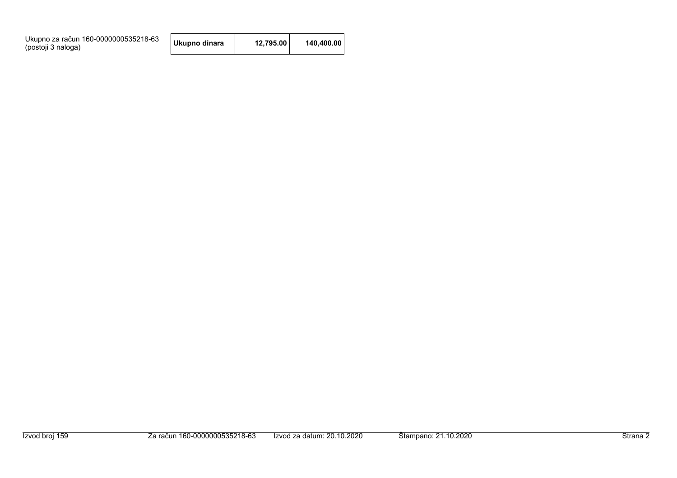| Ukupno za račun 160-0000000535218-63<br>(postoji 3 naloga) | Ukupno dinara | 12.795.00 | 140.400.00 |
|------------------------------------------------------------|---------------|-----------|------------|
|------------------------------------------------------------|---------------|-----------|------------|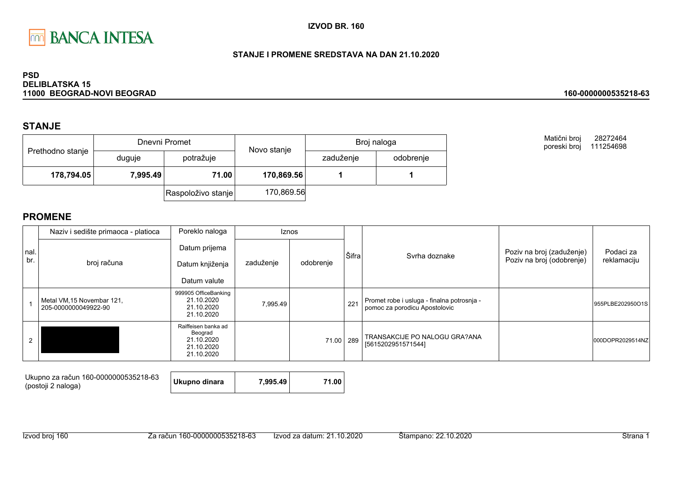

### STANJE I PROMENE SREDSTAVA NA DAN 21.10.2020

#### **PSD DELIBLATSKA 15** 11000 BEOGRAD-NOVI BEOGRAD

## **STANJE**

|                  | Dnevni Promet |                    |             | Broj naloga |           |  |
|------------------|---------------|--------------------|-------------|-------------|-----------|--|
| Prethodno stanje | duguje        | potražuje          | Novo stanje | zaduženje   | odobrenje |  |
| 178,794.05       | 7,995.49      | 71.00              | 170,869.56  |             |           |  |
|                  |               | Raspoloživo stanje | 170,869.56  |             |           |  |

Matični broj 28272464 poreski broj 111254698

160-0000000535218-63

|      | Naziv i sedište primaoca - platioca                | Poreklo naloga                                                           |           | Iznos     |       |                                                                             |                           |                  |
|------|----------------------------------------------------|--------------------------------------------------------------------------|-----------|-----------|-------|-----------------------------------------------------------------------------|---------------------------|------------------|
| nal. |                                                    | Datum prijema                                                            |           |           | Šifra | Syrha doznake                                                               | Poziv na broj (zaduženje) | Podaci za        |
| br.  | broj računa                                        | Datum knjiženja                                                          | zaduženje | odobrenje |       |                                                                             | Poziv na broj (odobrenje) | reklamaciju      |
|      |                                                    | Datum valute                                                             |           |           |       |                                                                             |                           |                  |
|      | Metal VM, 15 Novembar 121,<br>205-0000000049922-90 | 999905 OfficeBanking<br>21.10.2020<br>21.10.2020<br>21.10.2020           | 7,995.49  |           | 221   | Promet robe i usluga - finalna potrosnja -<br>pomoc za porodicu Apostolovic |                           | 955PLBE202950O1S |
|      |                                                    | Raiffeisen banka ad<br>Beograd<br>21.10.2020<br>21.10.2020<br>21.10.2020 |           | 71.00     | 289   | TRANSAKCIJE PO NALOGU GRA?ANA<br>[5615202951571544]                         |                           | 000DOPR2029514NZ |

| Ukupno za račun 160-0000000535218-63<br>(postoji 2 naloga) | Ukupno dinara | 7.995.49 | 71.00 |
|------------------------------------------------------------|---------------|----------|-------|
|------------------------------------------------------------|---------------|----------|-------|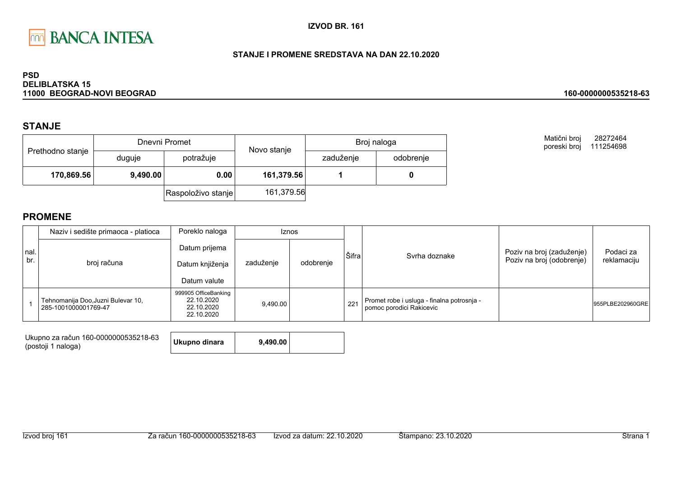

### STANJE I PROMENE SREDSTAVA NA DAN 22.10.2020

#### **PSD DELIBLATSKA 15** 11000 BEOGRAD-NOVI BEOGRAD

### **STANJE**

|                  |          | Dnevni Promet      | Novo stanje<br>potražuje | Broj naloga |           |  |
|------------------|----------|--------------------|--------------------------|-------------|-----------|--|
| Prethodno stanje | duguje   |                    |                          | zaduženje   | odobrenje |  |
| 170,869.56       | 9,490.00 | 0.00               | 161,379.56               |             |           |  |
|                  |          | Raspoloživo stanje | 161,379.56               |             |           |  |

Matični broj 28272464 poreski broj 111254698

160-0000000535218-63

|             | Naziv i sedište primaoca - platioca                        | Poreklo naloga                                                 |           | <b>Iznos</b> |       |                                                                        |                                                        |                          |
|-------------|------------------------------------------------------------|----------------------------------------------------------------|-----------|--------------|-------|------------------------------------------------------------------------|--------------------------------------------------------|--------------------------|
| nal.<br>br. | broj računa                                                | Datum prijema<br>Datum knjiženja<br>Datum valute               | zaduženje | odobrenje    | Šifra | Syrha doznake                                                          | Poziv na broj (zaduženje)<br>Poziv na broj (odobrenje) | Podaci za<br>reklamaciju |
|             | Tehnomanija Doo, Juzni Bulevar 10,<br>285-1001000001769-47 | 999905 OfficeBanking<br>22.10.2020<br>22.10.2020<br>22.10.2020 | 9.490.00  |              | 221   | Promet robe i usluga - finalna potrosnja -<br>pomoc porodici Rakicevic |                                                        | 955PLBE202960GRE         |

| Ukupno za račun 160-0000000535218-63 | Ukupno dinara | 9.490.00 |  |
|--------------------------------------|---------------|----------|--|
| (postoji 1 naloga)                   |               |          |  |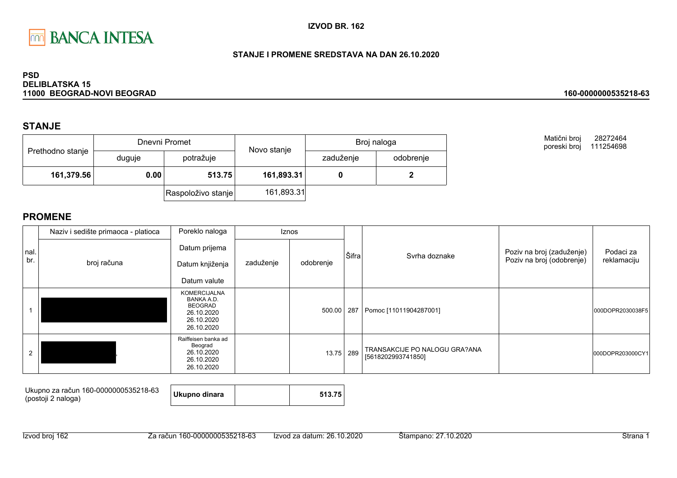

### STANJE I PROMENE SREDSTAVA NA DAN 26.10.2020

#### **PSD DELIBLATSKA 15** 11000 BEOGRAD-NOVI BEOGRAD

## **STANJE**

|                  |        | Dnevni Promet      | Novo stanje |           | Broj naloga |  |
|------------------|--------|--------------------|-------------|-----------|-------------|--|
| Prethodno stanje | duguje | potražuje          |             | zaduženje | odobrenje   |  |
| 161,379.56       | 0.00   | 513.75             | 161,893.31  |           |             |  |
|                  |        | Raspoloživo stanje | 161,893.31  |           |             |  |

Matični broj 28272464 poreski broj 111254698

160-0000000535218-63

|             | Naziv i sedište primaoca - platioca | Poreklo naloga                                                                                |           | <b>Iznos</b> |       |                                                     |                                                        |                          |
|-------------|-------------------------------------|-----------------------------------------------------------------------------------------------|-----------|--------------|-------|-----------------------------------------------------|--------------------------------------------------------|--------------------------|
| nal.<br>br. | broj računa                         | Datum prijema<br>Datum knjiženja<br>Datum valute                                              | zaduženje | odobrenje    | Šifra | Syrha doznake                                       | Poziv na broj (zaduženje)<br>Poziv na broj (odobrenje) | Podaci za<br>reklamaciju |
|             |                                     | <b>KOMERCIJALNA</b><br>BANKA A.D.<br><b>BEOGRAD</b><br>26.10.2020<br>26.10.2020<br>26.10.2020 |           | 500.00       | 287   | Pomoc [11011904287001]                              |                                                        | 000DOPR2030038F5         |
| 2           |                                     | Raiffeisen banka ad<br>Beograd<br>26.10.2020<br>26.10.2020<br>26.10.2020                      |           | 13.75        | 289   | TRANSAKCIJE PO NALOGU GRA?ANA<br>[5618202993741850] |                                                        | 000DOPR203000CY1         |

| Ukupno za račun 160-0000000535218-63<br>(postoji 2 naloga) | Ukupno dinara |  | 513.75 |
|------------------------------------------------------------|---------------|--|--------|
|------------------------------------------------------------|---------------|--|--------|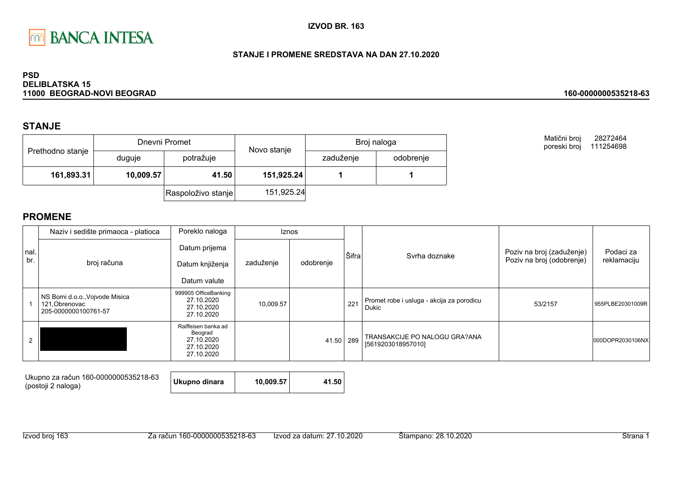

### STANJE I PROMENE SREDSTAVA NA DAN 27.10.2020

#### **PSD DELIBLATSKA 15** 11000 BEOGRAD-NOVI BEOGRAD

### **STANJE**

|                  |           | Dnevni Promet      | Novo stanje |           | Broj naloga |
|------------------|-----------|--------------------|-------------|-----------|-------------|
| Prethodno stanje | duguje    | potražuje          |             | zaduženje | odobrenje   |
| 161,893.31       | 10,009.57 | 41.50              | 151,925.24  |           |             |
|                  |           | Raspoloživo stanje | 151,925.24  |           |             |

Matični broj 28272464 poreski broj 111254698

160-0000000535218-63

|      | Naziv i sedište primaoca - platioca                                      | Poreklo naloga                                                           |           | <b>Iznos</b> |       |                                                     |                           |                  |
|------|--------------------------------------------------------------------------|--------------------------------------------------------------------------|-----------|--------------|-------|-----------------------------------------------------|---------------------------|------------------|
| nal. |                                                                          | Datum prijema                                                            |           |              | Šifra | Syrha doznake                                       | Poziv na broj (zaduženje) | Podaci za        |
| br.  | broj računa                                                              | Datum knjiženja                                                          | zaduženje | odobrenje    |       |                                                     | Poziv na broj (odobrenje) | reklamaciju      |
|      |                                                                          | Datum valute                                                             |           |              |       |                                                     |                           |                  |
|      | NS Bomi d.o.o., Vojvode Misica<br>121, Obrenovac<br>205-0000000100761-57 | 999905 OfficeBanking<br>27.10.2020<br>27.10.2020<br>27.10.2020           | 10,009.57 |              | 221   | Promet robe i usluga - akcija za porodicu<br>Dukic  | 53/2157                   | 955PLBE20301009R |
|      |                                                                          | Raiffeisen banka ad<br>Beograd<br>27.10.2020<br>27.10.2020<br>27.10.2020 |           | 41.50        | 289   | TRANSAKCIJE PO NALOGU GRA?ANA<br>[5619203018957010] |                           | 000DOPR2030106NX |

| Ukupno za račun 160-0000000535218-63<br>(postoji 2 naloga) | Ukupno dinara<br>10.009.57 | 41.50 |
|------------------------------------------------------------|----------------------------|-------|
|------------------------------------------------------------|----------------------------|-------|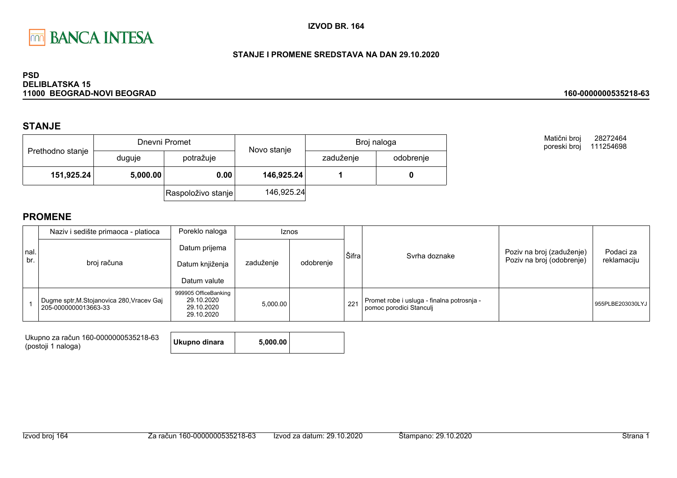

### STANJE I PROMENE SREDSTAVA NA DAN 29.10.2020

#### **PSD DELIBLATSKA 15** 11000 BEOGRAD-NOVI BEOGRAD

## **STANJE**

|                  |          | Dnevni Promet      | Novo stanje | Broj naloga |           |
|------------------|----------|--------------------|-------------|-------------|-----------|
| Prethodno stanje | duguje   | potražuje          |             | zaduženje   | odobrenje |
| 151,925.24       | 5,000.00 | 0.00               | 146,925.24  |             |           |
|                  |          | Raspoloživo stanje | 146,925.24  |             |           |

Matični broj 28272464 poreski broj 111254698

160-0000000535218-63

|             | Naziv i sedište primaoca - platioca                                | Poreklo naloga                                                 |           | <b>Iznos</b> |       |                                                                       |                                                        |                          |
|-------------|--------------------------------------------------------------------|----------------------------------------------------------------|-----------|--------------|-------|-----------------------------------------------------------------------|--------------------------------------------------------|--------------------------|
| nal.<br>br. | broj računa                                                        | Datum prijema<br>Datum knjiženja<br>Datum valute               | zaduženje | odobrenje    | Šifra | Svrha doznake                                                         | Poziv na broj (zaduženje)<br>Poziv na broj (odobrenje) | Podaci za<br>reklamaciju |
|             | Dugme sptr, M. Stojanovica 280, Vracev Gaj<br>205-0000000013663-33 | 999905 OfficeBanking<br>29.10.2020<br>29.10.2020<br>29.10.2020 | 5,000.00  |              | 221   | Promet robe i usluga - finalna potrosnja -<br>pomoc porodici Stanculi |                                                        | 955PLBE203030LYJ         |

| Ukupno za račun 160-0000000535218-63<br>(postoji 1 naloga) | Ukupno dinara | 5.000.00 |  |
|------------------------------------------------------------|---------------|----------|--|